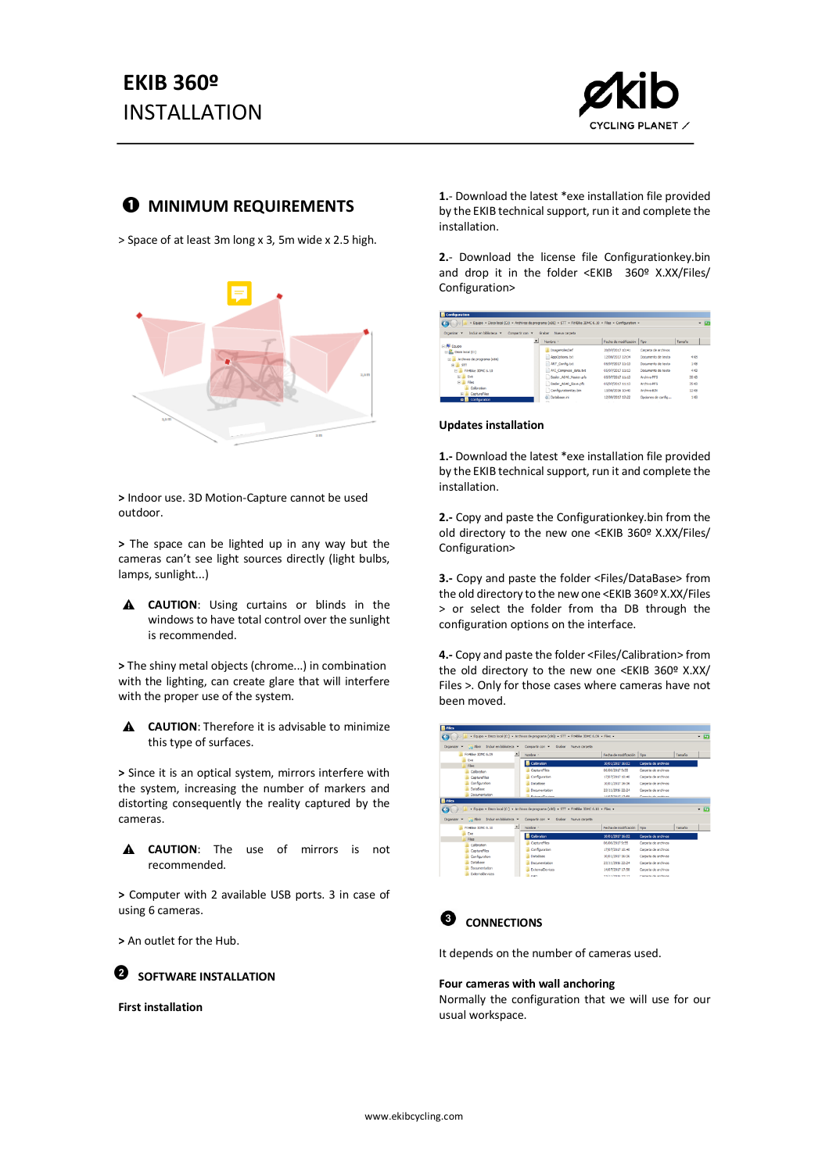

# $\bullet$  MINIMUM REQUIREMENTS

> Space of at least 3m long x 3, 5m wide x 2.5 high.



**>** Indoor use. 3D Motion-Capture cannot be used outdoor.

**>** The space can be lighted up in any way but the cameras can't see light sources directly (light bulbs, lamps, sunlight...)

**A** CAUTION: Using curtains or blinds in the windows to have total control over the sunlight is recommended.

**>** The shiny metal objects (chrome...) in combination with the lighting, can create glare that will interfere with the proper use of the system.

**CAUTION**: Therefore it is advisable to minimize  $\blacktriangle$ this type of surfaces.

**>** Since it is an optical system, mirrors interfere with the system, increasing the number of markers and distorting consequently the reality captured by the cameras.



**>** Computer with 2 available USB ports. 3 in case of using 6 cameras.

**>** An outlet for the Hub.

**<sup>8</sup>** SOFTWARE INSTALLATION

**First installation**

**1.**- Download the latest \*exe installation file provided by the EKIB technical support, run it and complete the installation.

**2.**- Download the license file Configurationkey.bin and drop it in the folder <EKIB 360º X.XX/Files/ Configuration>

| $\Theta$                                       | - Equipo - Disco local (C:) - Archivos de programa (x86) - STT - Fit-@ke 3DMC 6.10 - Files - Configuration - |                              |                     | $-0$          |
|------------------------------------------------|--------------------------------------------------------------------------------------------------------------|------------------------------|---------------------|---------------|
| Induir en biblioteca <<br>Organizar <b>v</b>   | Grabar Nueva carpeta<br>Compartir con <b>v</b>                                                               |                              |                     |               |
|                                                | ∍<br>Nombre -                                                                                                | Fecha de modificación   Tipo |                     | Tamaño        |
| 田県 Equipo<br>File Disco local (C:)             | ImageHolesDef                                                                                                | 20/07/2017 10:41             | Carpeta de archivos |               |
| El Archivos de programa (x86)                  | AppOptions.bt                                                                                                | 12/09/2017 17:04             | Documento de texto  | 488           |
| $\equiv$ $\frac{11}{26}$ srr                   | ART Config.bt                                                                                                | 05/07/2017 11:13             | Documento de texto  | 188           |
| FL Feeble 30NC 6.10                            | AVI Compress data.txt                                                                                        | 05/07/2017 11:13             | Don mento de texto. | 488           |
| <b>EL Exe</b>                                  | <b>Basier A640 Master.pfs</b>                                                                                | 05/07/2017 11:13             | Archivo PFS         | $35 \times n$ |
| <b>EL ILI Files</b>                            | Bader_A640_Slave.pfs                                                                                         | 05/07/2017 11:13             | Archivo PFS         | 35.831        |
| Calibration                                    | Configuratoriory.bin                                                                                         | 13/09/2016 10:40             | Archivo 82V         | 12108         |
| <b>R</b> CaptureFiles<br><b>p</b> Confouration | @ Database.ini                                                                                               | 12/09/2017 17:22             | Opciones de config  | 188           |

#### **Updates installation**

**1.-** Download the latest \*exe installation file provided by the EKIB technical support, run it and complete the installation.

**2.-** Copy and paste the Configurationkey.bin from the old directory to the new one <EKIB 360º X.XX/Files/ Configuration>

**3.-** Copy and paste the folder <Files/DataBase> from the old directory to the new one <EKIB 360º X.XX/Files > or select the folder from tha DB through the configuration options on the interface.

**4.-** Copy and paste the folder <Files/Calibration> from the old directory to the new one <EKIB 360º X.XX/ Files >. Only for those cases where cameras have not been moved.

| Abrir Incluir en biblioteca<br>Crownizar = | Compartir con = Grabar Nueva carpeta                                                          |                              |                      |        |      |
|--------------------------------------------|-----------------------------------------------------------------------------------------------|------------------------------|----------------------|--------|------|
| Fit4blue 3DMC 6.09                         | 싀<br>Nombre -                                                                                 | Fecha de modificación   Tipo |                      | Tamačo |      |
| Eve<br>Files                               | Calibration                                                                                   | 10/01/2017 16:02             | Carpeta de archivos  |        |      |
| Calibration                                | Capture/Ves                                                                                   | 06/06/2017 9:55              | Carpeta de archivos  |        |      |
| Capture/Vies                               | Configuration                                                                                 | 17/07/2017 10:40             | Carpeta de archivos  |        |      |
| Configuration                              | DataBase                                                                                      | 10/01/2017 16:36             | Caronta de archivos  |        |      |
| DataRase                                   | Documentation                                                                                 | 23/11/2016 22:24             | Carpeta de archivos  |        |      |
| <b>Documentation</b>                       | <b>Extremal Tensions</b>                                                                      | 148300171349                 | Constant de sederate |        |      |
| <b>B</b> Files                             | - Equipo - Disco local (C:) - Archivos de programa (x86) - STT - Fit-Bike 30MC 6.10 - Files - |                              |                      |        |      |
| Abrir Incluir en biblioteca<br>Organizar = | Compartir con = Grabar                                                                        | Nueva carpeta                |                      |        |      |
| FINENH 30MC 6, 10                          | ⊼<br>Nombre -                                                                                 | Fecha de modificación        | Too                  | Tamaño |      |
| De                                         | <b>B</b> Calibration                                                                          | 10/01/2017 16:02             | Carpeta de archivos  |        |      |
| <b>Files</b>                               | CaptureFles                                                                                   | 06/06/2017 9:55              | Carpeta de archivos  |        |      |
| Calibration<br>CaptureFiles                | Conflouration                                                                                 | 17/07/2017 10:40             | Carpeta de archivos  |        |      |
| Configuration                              | Datallase                                                                                     | 10/01/2017 16:36             | Carpeta de archivos  |        |      |
| Database                                   | Documentation                                                                                 | 23/11/2016 22:24             | Carpeta de archivos  |        |      |
| Documentation<br>ExternalDevices           | ExternaDevices                                                                                | 14/07/2017 17:58             | Carpeta de archivos  |        | $ a$ |



It depends on the number of cameras used.

#### **Four cameras with wall anchoring**

Normally the configuration that we will use for our usual workspace.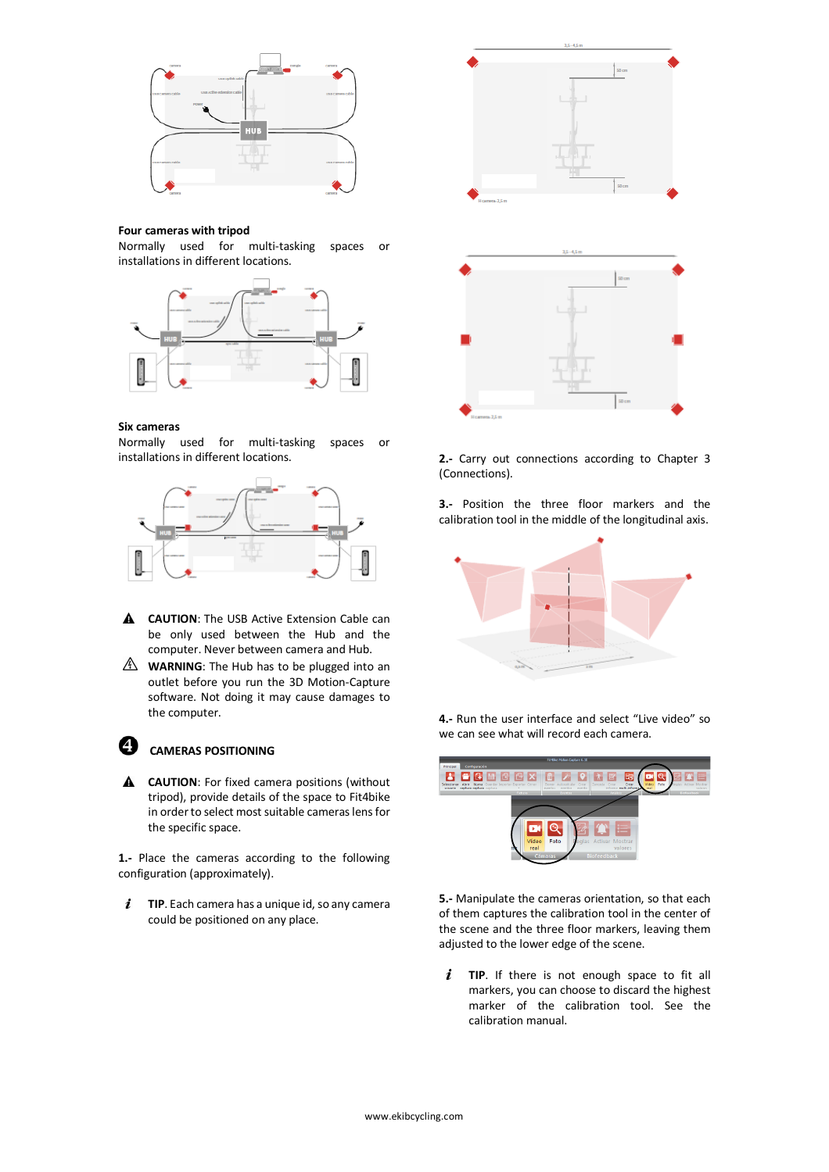

### **Four cameras with tripod**

Normally used for multi-tasking spaces or installations in different locations.



## **Six cameras**

Normally used for multi-tasking spaces or installations in different locations.



- **A CAUTION**: The USB Active Extension Cable can be only used between the Hub and the computer. Never between camera and Hub.
- **WARNING**: The Hub has to be plugged into an outlet before you run the 3D Motion-Capture software. Not doing it may cause damages to the computer.



# **CAMERAS POSITIONING**

**A CAUTION**: For fixed camera positions (without tripod), provide details of the space to Fit4bike in order to select most suitable cameras lens for the specific space.

**1.-** Place the cameras according to the following configuration (approximately).

 $\boldsymbol{i}$ **TIP**. Each camera has a unique id, so any camera could be positioned on any place.



**2.-** Carry out connections according to Chapter 3 (Connections).

**3.-** Position the three floor markers and the calibration tool in the middle of the longitudinal axis.



**4.-** Run the user interface and select "Live video" so we can see what will record each camera.



**5.-** Manipulate the cameras orientation, so that each of them captures the calibration tool in the center of the scene and the three floor markers, leaving them adjusted to the lower edge of the scene.

 $\boldsymbol{i}$ **TIP**. If there is not enough space to fit all markers, you can choose to discard the highest marker of the calibration tool. See the calibration manual.